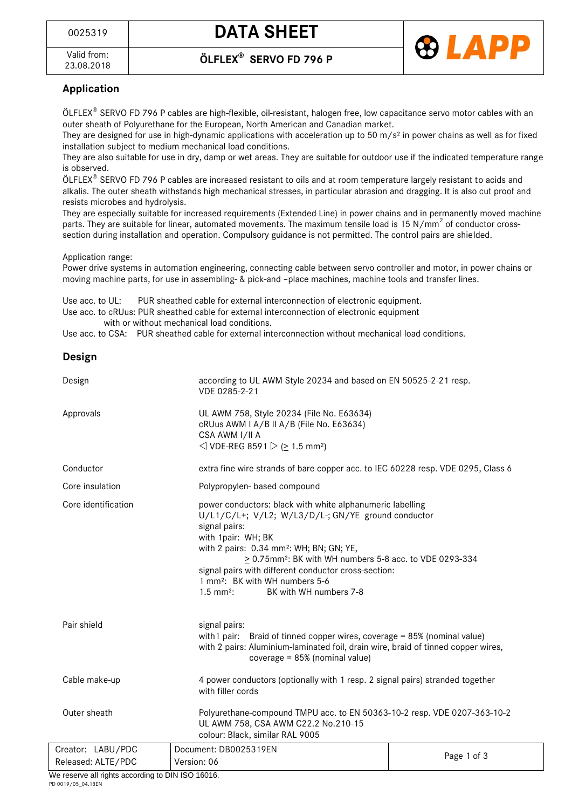



## **Application**

ÖLFLEX SERVO FD 796 P cables are high-flexible, oil-resistant, halogen free, low capacitance servo motor cables with an outer sheath of Polyurethane for the European, North American and Canadian market.

They are designed for use in high-dynamic applications with acceleration up to 50 m/s<sup>2</sup> in power chains as well as for fixed installation subject to medium mechanical load conditions.

They are also suitable for use in dry, damp or wet areas. They are suitable for outdoor use if the indicated temperature range is observed.

ÖLFLEX SERVO FD 796 P cables are increased resistant to oils and at room temperature largely resistant to acids and alkalis. The outer sheath withstands high mechanical stresses, in particular abrasion and dragging. It is also cut proof and resists microbes and hydrolysis.

They are especially suitable for increased requirements (Extended Line) in power chains and in permanently moved machine parts. They are suitable for linear, automated movements. The maximum tensile load is 15 N/mm<sup>2</sup> of conductor crosssection during installation and operation. Compulsory guidance is not permitted. The control pairs are shielded.

#### Application range:

Power drive systems in automation engineering, connecting cable between servo controller and motor, in power chains or moving machine parts, for use in assembling- & pick-and –place machines, machine tools and transfer lines.

Use acc. to UL: PUR sheathed cable for external interconnection of electronic equipment.

Use acc. to cRUus: PUR sheathed cable for external interconnection of electronic equipment with or without mechanical load conditions.

Use acc. to CSA: PUR sheathed cable for external interconnection without mechanical load conditions.

### **Design**

| Design              | according to UL AWM Style 20234 and based on EN 50525-2-21 resp.<br>VDE 0285-2-21                                                                                                                                                                                                                                                                                                                                                             |             |  |
|---------------------|-----------------------------------------------------------------------------------------------------------------------------------------------------------------------------------------------------------------------------------------------------------------------------------------------------------------------------------------------------------------------------------------------------------------------------------------------|-------------|--|
| Approvals           | UL AWM 758, Style 20234 (File No. E63634)<br>cRUus AWM I A/B II A/B (File No. E63634)<br>CSA AWM I/II A<br>◯ VDE-REG 8591 $\triangleright$ ( $\geq$ 1.5 mm <sup>2</sup> )                                                                                                                                                                                                                                                                     |             |  |
| Conductor           | extra fine wire strands of bare copper acc. to IEC 60228 resp. VDE 0295, Class 6                                                                                                                                                                                                                                                                                                                                                              |             |  |
| Core insulation     | Polypropylen- based compound                                                                                                                                                                                                                                                                                                                                                                                                                  |             |  |
| Core identification | power conductors: black with white alphanumeric labelling<br>U/L1/C/L+; V/L2; W/L3/D/L-; GN/YE ground conductor<br>signal pairs:<br>with 1pair: WH; BK<br>with 2 pairs: 0.34 mm <sup>2</sup> : WH; BN; GN; YE,<br>> 0.75mm <sup>2</sup> : BK with WH numbers 5-8 acc. to VDE 0293-334<br>signal pairs with different conductor cross-section:<br>1 mm <sup>2</sup> : BK with WH numbers 5-6<br>BK with WH numbers 7-8<br>$1.5 \text{ mm}^2$ : |             |  |
| Pair shield         | signal pairs:<br>with 1 pair: Braid of tinned copper wires, coverage = $85\%$ (nominal value)<br>with 2 pairs: Aluminium-laminated foil, drain wire, braid of tinned copper wires,<br>coverage = 85% (nominal value)                                                                                                                                                                                                                          |             |  |
| Cable make-up       | 4 power conductors (optionally with 1 resp. 2 signal pairs) stranded together<br>with filler cords                                                                                                                                                                                                                                                                                                                                            |             |  |
| Outer sheath        | Polyurethane-compound TMPU acc. to EN 50363-10-2 resp. VDE 0207-363-10-2<br>UL AWM 758, CSA AWM C22.2 No.210-15<br>colour: Black, similar RAL 9005                                                                                                                                                                                                                                                                                            |             |  |
| Creator: LABU/PDC   | Document: DB0025319EN                                                                                                                                                                                                                                                                                                                                                                                                                         | Page 1 of 3 |  |
| Released: ALTE/PDC  | Version: 06                                                                                                                                                                                                                                                                                                                                                                                                                                   |             |  |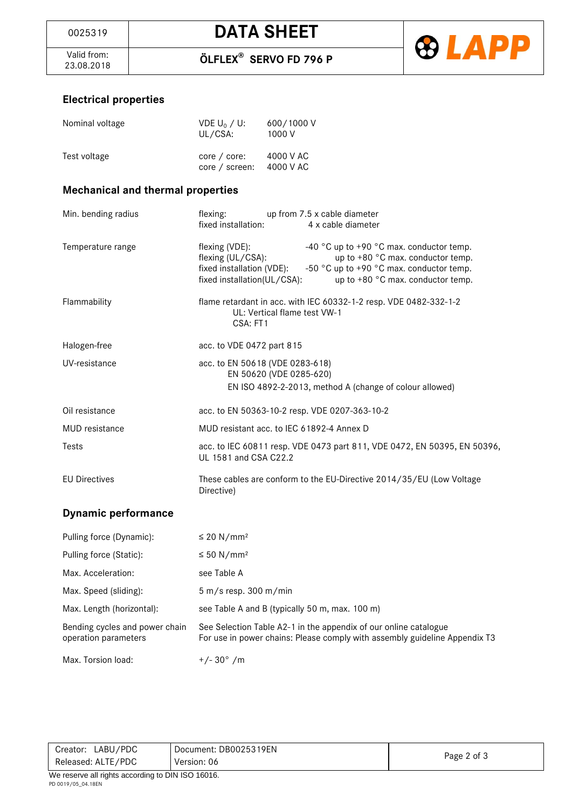Valid from:<br>23.08.2018



# **Electrical properties**

| Nominal voltage                          | VDE $U_0 / U$ :<br>UL/CSA:                                                                        | 600/1000V<br>1000 V                                                                                                                                                                |
|------------------------------------------|---------------------------------------------------------------------------------------------------|------------------------------------------------------------------------------------------------------------------------------------------------------------------------------------|
| Test voltage                             | core / core:<br>core / screen:                                                                    | 4000 V AC<br>4000 V AC                                                                                                                                                             |
| <b>Mechanical and thermal properties</b> |                                                                                                   |                                                                                                                                                                                    |
| Min. bending radius                      | flexing:<br>fixed installation:                                                                   | up from 7.5 x cable diameter<br>4 x cable diameter                                                                                                                                 |
| Temperature range                        | flexing (VDE):<br>flexing (UL/CSA):<br>fixed installation (VDE):<br>fixed installation(UL/CSA):   | -40 $^{\circ}$ C up to +90 $^{\circ}$ C max. conductor temp.<br>up to +80 °C max. conductor temp.<br>-50 °C up to +90 °C max. conductor temp.<br>up to +80 °C max. conductor temp. |
| Flammability                             | CSA: FT1                                                                                          | flame retardant in acc. with IEC 60332-1-2 resp. VDE 0482-332-1-2<br>UL: Vertical flame test VW-1                                                                                  |
| Halogen-free                             | acc. to VDE 0472 part 815                                                                         |                                                                                                                                                                                    |
| UV-resistance                            |                                                                                                   | acc. to EN 50618 (VDE 0283-618)<br>EN 50620 (VDE 0285-620)<br>EN ISO 4892-2-2013, method A (change of colour allowed)                                                              |
| Oil resistance                           |                                                                                                   | acc. to EN 50363-10-2 resp. VDE 0207-363-10-2                                                                                                                                      |
| MUD resistance                           | MUD resistant acc. to IEC 61892-4 Annex D                                                         |                                                                                                                                                                                    |
| Tests                                    | acc. to IEC 60811 resp. VDE 0473 part 811, VDE 0472, EN 50395, EN 50396,<br>UL 1581 and CSA C22.2 |                                                                                                                                                                                    |
| <b>EU Directives</b>                     | Directive)                                                                                        | These cables are conform to the EU-Directive 2014/35/EU (Low Voltage                                                                                                               |
| <b>Dynamic performance</b>               |                                                                                                   |                                                                                                                                                                                    |
| Pulling force (Dynamic):                 | $\leq$ 20 N/mm <sup>2</sup>                                                                       |                                                                                                                                                                                    |
| Pulling force (Static):                  | ≤ 50 N/mm <sup>2</sup>                                                                            |                                                                                                                                                                                    |

| Pulling force (Static):                                | $\leq 50$ N/mm <sup>2</sup>                                                                                                                    |
|--------------------------------------------------------|------------------------------------------------------------------------------------------------------------------------------------------------|
| Max. Acceleration:                                     | see Table A                                                                                                                                    |
| Max. Speed (sliding):                                  | $5 \text{ m/s}$ resp. 300 m/min                                                                                                                |
| Max. Length (horizontal):                              | see Table A and B (typically 50 m, max. 100 m)                                                                                                 |
| Bending cycles and power chain<br>operation parameters | See Selection Table A2-1 in the appendix of our online catalogue<br>For use in power chains: Please comply with assembly guideline Appendix T3 |
| Max. Torsion load:                                     | $+/- 30^{\circ}$ /m                                                                                                                            |

| LABU/PDC<br>Creator: | Document: DB0025319EN | Page 2 of 3 |
|----------------------|-----------------------|-------------|
| Released: ALTE/PDC   | Version: 06           |             |